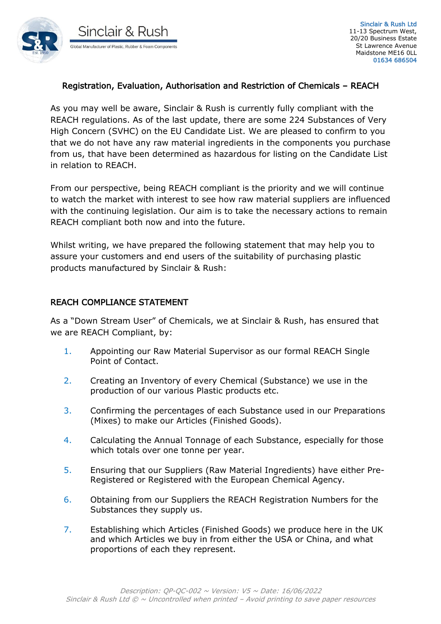

## Registration, Evaluation, Authorisation and Restriction of Chemicals – REACH

As you may well be aware, Sinclair & Rush is currently fully compliant with the REACH regulations. As of the last update, there are some 224 Substances of Very High Concern (SVHC) on the EU Candidate List. We are pleased to confirm to you that we do not have any raw material ingredients in the components you purchase from us, that have been determined as hazardous for listing on the Candidate List in relation to REACH.

From our perspective, being REACH compliant is the priority and we will continue to watch the market with interest to see how raw material suppliers are influenced with the continuing legislation. Our aim is to take the necessary actions to remain REACH compliant both now and into the future.

Whilst writing, we have prepared the following statement that may help you to assure your customers and end users of the suitability of purchasing plastic products manufactured by Sinclair & Rush:

## REACH COMPLIANCE STATEMENT

As a "Down Stream User" of Chemicals, we at Sinclair & Rush, has ensured that we are REACH Compliant, by:

- 1. Appointing our Raw Material Supervisor as our formal REACH Single Point of Contact.
- 2. Creating an Inventory of every Chemical (Substance) we use in the production of our various Plastic products etc.
- 3. Confirming the percentages of each Substance used in our Preparations (Mixes) to make our Articles (Finished Goods).
- 4. Calculating the Annual Tonnage of each Substance, especially for those which totals over one tonne per year.
- 5. Ensuring that our Suppliers (Raw Material Ingredients) have either Pre-Registered or Registered with the European Chemical Agency.
- 6. Obtaining from our Suppliers the REACH Registration Numbers for the Substances they supply us.
- 7. Establishing which Articles (Finished Goods) we produce here in the UK and which Articles we buy in from either the USA or China, and what proportions of each they represent.